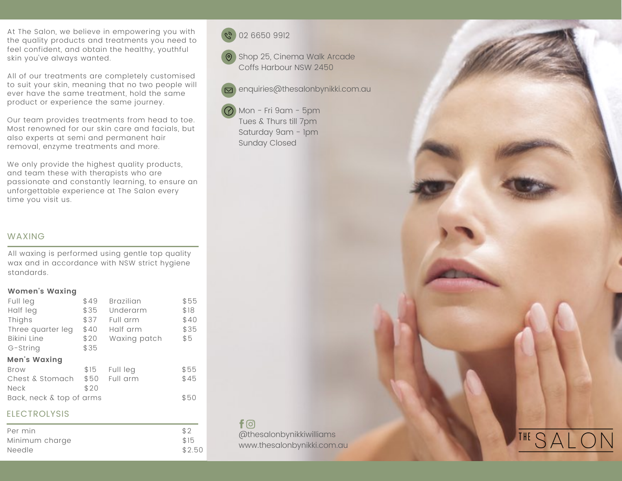At The Salon, we believe in empowering you with the quality products and treatments you need to feel confident, and obtain the healthy, youthful skin you've always wanted.

All of our treatments are completely customised to suit your skin, meaning that no two people will ever have the same treatment, hold the same product or experience the same journey.

Our team provides treatments from head to toe. Most renowned for our skin care and facials, but also experts at semi and permanent hair removal, enzyme treatments and more.

We only provide the highest quality products, and team these with therapists who are passionate and constantly learning, to ensure an unforgettable experience at The Salon every time you visit us.

## WAXING

All waxing is performed using gentle top quality wax and in accordance with NSW strict hygiene standards.

#### **Women's Waxing**

| \$49 | <b>Brazilian</b>         | \$55                 |
|------|--------------------------|----------------------|
| \$35 | Underarm                 | \$18                 |
| \$37 | Full arm                 | \$40                 |
| \$40 | Half arm                 | \$35                 |
| \$20 | Waxing patch             | \$5                  |
| \$35 |                          |                      |
|      |                          |                      |
| \$15 |                          | \$55                 |
| \$50 |                          | \$45                 |
| \$20 |                          |                      |
|      |                          | \$50                 |
|      | Back, neck & top of arms | Full leg<br>Full arm |

# **ELECTROLYSIS**

| Per min        | \$2    |
|----------------|--------|
| Minimum charge | \$15   |
| Needle         | \$2.50 |



**O** Shop 25, Cinema Walk Arcade Coffs Harbour NSW 2450

enquiries@thesalonbynikki.com.au

Mon - Fri 9am - 5pm Tues & Thurs till 7pm Saturday 9am - 1pm Sunday Closed

 $f$  $\odot$ @thesalonbynikkiwilliams

www.thesalonbynikki.com.au